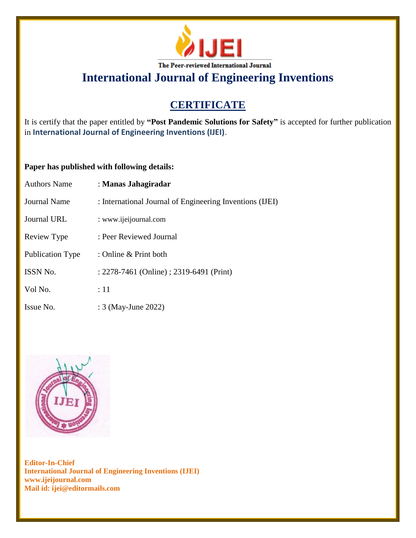

# **CERTIFICATE**

It is certify that the paper entitled by **"Post Pandemic Solutions for Safety"** is accepted for further publication in **International Journal of Engineering Inventions (IJEI)**.

## **Paper has published with following details:**

| <b>Authors Name</b>     | : Manas Jahagiradar                                      |
|-------------------------|----------------------------------------------------------|
| <b>Journal Name</b>     | : International Journal of Engineering Inventions (IJEI) |
| Journal URL             | : www.ijeijournal.com                                    |
| Review Type             | : Peer Reviewed Journal                                  |
| <b>Publication Type</b> | : Online & Print both                                    |
| <b>ISSN No.</b>         | : 2278-7461 (Online) ; 2319-6491 (Print)                 |
| Vol No.                 | :11                                                      |
| Issue No.               | : 3 (May-June 2022)                                      |

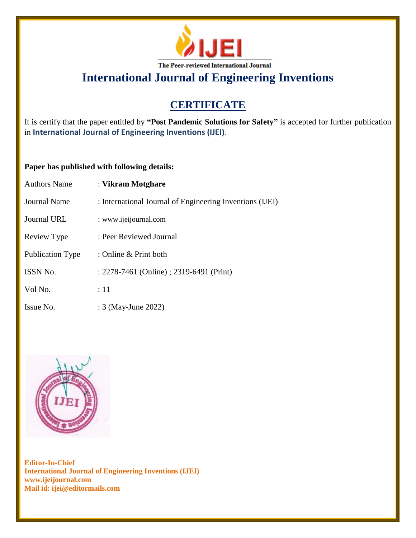

# **CERTIFICATE**

It is certify that the paper entitled by **"Post Pandemic Solutions for Safety"** is accepted for further publication in **International Journal of Engineering Inventions (IJEI)**.

## **Paper has published with following details:**

| <b>Authors Name</b>     | : Vikram Motghare                                        |
|-------------------------|----------------------------------------------------------|
| <b>Journal Name</b>     | : International Journal of Engineering Inventions (IJEI) |
| Journal URL             | : www.ijeijournal.com                                    |
| Review Type             | : Peer Reviewed Journal                                  |
| <b>Publication Type</b> | : Online & Print both                                    |
| <b>ISSN No.</b>         | : 2278-7461 (Online) ; 2319-6491 (Print)                 |
| Vol No.                 | :11                                                      |
| Issue No.               | : 3 (May-June 2022)                                      |

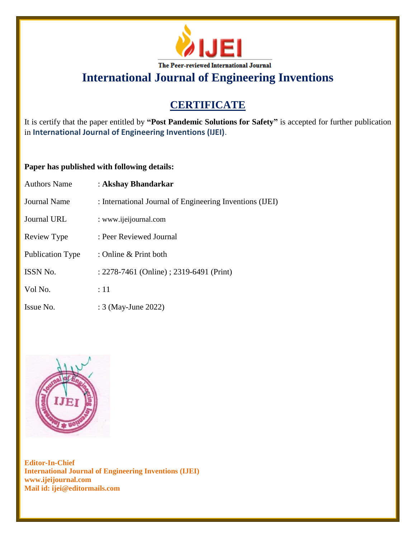

# **CERTIFICATE**

It is certify that the paper entitled by **"Post Pandemic Solutions for Safety"** is accepted for further publication in **International Journal of Engineering Inventions (IJEI)**.

## **Paper has published with following details:**

| <b>Authors Name</b>     | : Akshay Bhandarkar                                      |
|-------------------------|----------------------------------------------------------|
| <b>Journal Name</b>     | : International Journal of Engineering Inventions (IJEI) |
| Journal URL             | : www.ijeijournal.com                                    |
| Review Type             | : Peer Reviewed Journal                                  |
| <b>Publication Type</b> | : Online & Print both                                    |
| <b>ISSN No.</b>         | : 2278-7461 (Online) ; 2319-6491 (Print)                 |
| Vol No.                 | :11                                                      |
| Issue No.               | : 3 (May-June 2022)                                      |

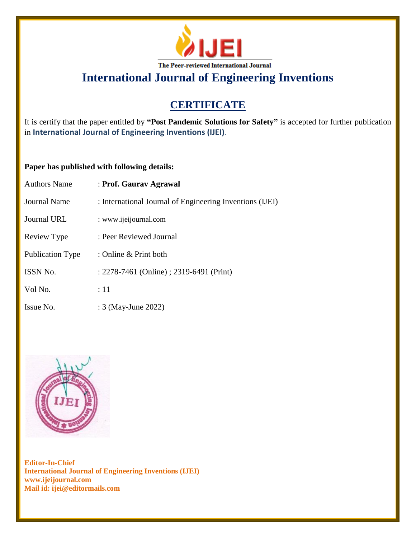

# **CERTIFICATE**

It is certify that the paper entitled by **"Post Pandemic Solutions for Safety"** is accepted for further publication in **International Journal of Engineering Inventions (IJEI)**.

## **Paper has published with following details:**

| <b>Authors Name</b>     | : Prof. Gaurav Agrawal                                   |
|-------------------------|----------------------------------------------------------|
| <b>Journal Name</b>     | : International Journal of Engineering Inventions (IJEI) |
| <b>Journal URL</b>      | : www.ijeijournal.com                                    |
| Review Type             | : Peer Reviewed Journal                                  |
| <b>Publication Type</b> | : Online $\&$ Print both                                 |
| <b>ISSN No.</b>         | : 2278-7461 (Online) ; 2319-6491 (Print)                 |
| Vol No.                 | :11                                                      |
| Issue No.               | : 3 (May-June 2022)                                      |

![](_page_3_Picture_6.jpeg)